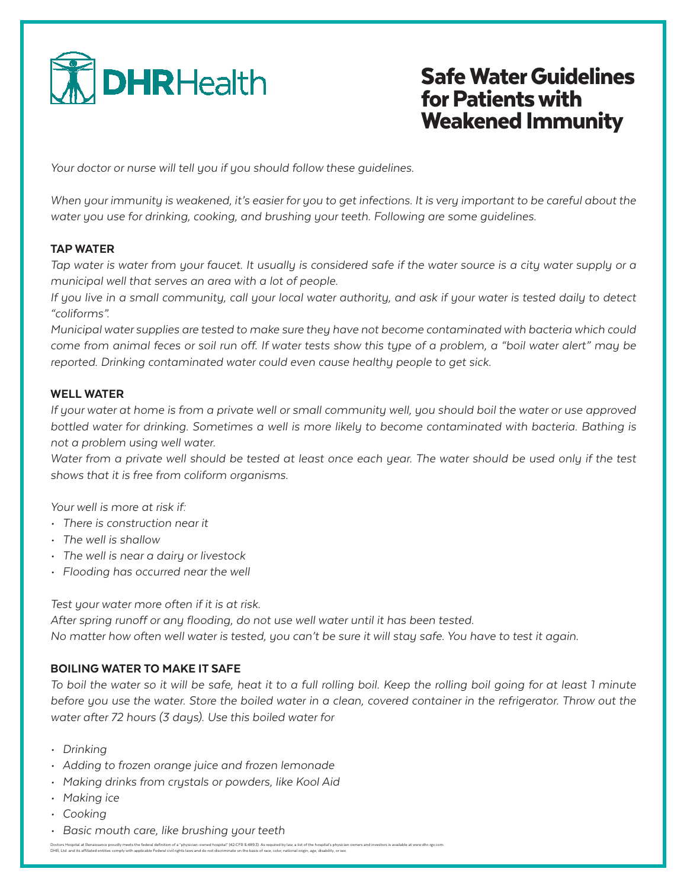

# Safe Water Guidelines for Patients with Weakened Immunity

*Your doctor or nurse will tell you if you should follow these guidelines.*

*When your immunity is weakened, it's easier for you to get infections. It is very important to be careful about the water you use for drinking, cooking, and brushing your teeth. Following are some guidelines.*

### TAP WATER

*Tap water is water from your faucet. It usually is considered safe if the water source is a city water supply or a municipal well that serves an area with a lot of people.*

*If you live in a small community, call your local water authority, and ask if your water is tested daily to detect "coliforms".*

*Municipal water supplies are tested to make sure they have not become contaminated with bacteria which could come from animal feces or soil run off. If water tests show this type of a problem, a "boil water alert" may be reported. Drinking contaminated water could even cause healthy people to get sick.*

### WELL WATER

*If your water at home is from a private well or small community well, you should boil the water or use approved*  bottled water for drinking. Sometimes a well is more likely to become contaminated with bacteria. Bathing is *not a problem using well water.*

Water from a private well should be tested at least once each year. The water should be used only if the test *shows that it is free from coliform organisms.*

*Your well is more at risk if:*

- *• There is construction near it*
- *• The well is shallow*
- *• The well is near a dairy or livestock*
- *• Flooding has occurred near the well*

*Test your water more often if it is at risk.* 

*After spring runoff or any flooding, do not use well water until it has been tested.* 

*No matter how often well water is tested, you can't be sure it will stay safe. You have to test it again.*

## BOILING WATER TO MAKE IT SAFE

*To boil the water so it will be safe, heat it to a full rolling boil. Keep the rolling boil going for at least 1 minute*  before you use the water. Store the boiled water in a clean, covered container in the refrigerator. Throw out the *water after 72 hours (3 days). Use this boiled water for*

- *• Drinking*
- *• Adding to frozen orange juice and frozen lemonade*
- *• Making drinks from crystals or powders, like Kool Aid*
- *• Making ice*
- *• Cooking*
- *• Basic mouth care, like brushing your teeth*

Doctors Hospital at Renaissance proudly meets the federal definition of a "physician-owned hospital" (42 CFR \$ 489.3). As required by law, a list of the hospital's physician owners and investors is available at www.dhr-rgv DHR, Ltd. and its affiliated entities comply with applicable Federal civil rights laws and do not discriminate on the basis of race, color, national origin, age, disability, or sex.